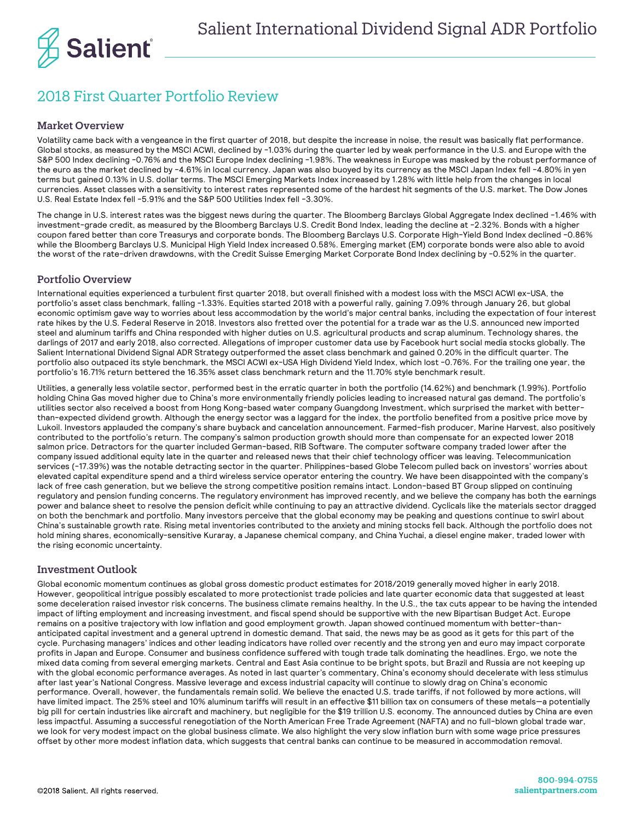

## 2018 First Quarter Portfolio Review

## Market Overview

Volatility came back with a vengeance in the first quarter of 2018, but despite the increase in noise, the result was basically flat performance. Global stocks, as measured by the MSCI ACWI, declined by -1.03% during the quarter led by weak performance in the U.S. and Europe with the S&P 500 Index declining -0.76% and the MSCI Europe Index declining -1.98%. The weakness in Europe was masked by the robust performance of the euro as the market declined by -4.61% in local currency. Japan was also buoyed by its currency as the MSCI Japan Index fell -4.80% in yen terms but gained 0.13% in U.S. dollar terms. The MSCI Emerging Markets Index increased by 1.28% with little help from the changes in local currencies. Asset classes with a sensitivity to interest rates represented some of the hardest hit segments of the U.S. market. The Dow Jones U.S. Real Estate Index fell -5.91% and the S&P 500 Utilities Index fell -3.30%.

The change in U.S. interest rates was the biggest news during the quarter. The Bloomberg Barclays Global Aggregate Index declined -1.46% with investment-grade credit, as measured by the Bloomberg Barclays U.S. Credit Bond Index, leading the decline at -2.32%. Bonds with a higher coupon fared better than core Treasurys and corporate bonds. The Bloomberg Barclays U.S. Corporate High-Yield Bond Index declined -0.86% while the Bloomberg Barclays U.S. Municipal High Yield Index increased 0.58%. Emerging market (EM) corporate bonds were also able to avoid the worst of the rate-driven drawdowns, with the Credit Suisse Emerging Market Corporate Bond Index declining by -0.52% in the quarter.

## Portfolio Overview

International equities experienced a turbulent first quarter 2018, but overall finished with a modest loss with the MSCI ACWI ex-USA, the portfolio's asset class benchmark, falling -1.33%. Equities started 2018 with a powerful rally, gaining 7.09% through January 26, but global economic optimism gave way to worries about less accommodation by the world's major central banks, including the expectation of four interest rate hikes by the U.S. Federal Reserve in 2018. Investors also fretted over the potential for a trade war as the U.S. announced new imported steel and aluminum tariffs and China responded with higher duties on U.S. agricultural products and scrap aluminum. Technology shares, the darlings of 2017 and early 2018, also corrected. Allegations of improper customer data use by Facebook hurt social media stocks globally. The Salient International Dividend Signal ADR Strategy outperformed the asset class benchmark and gained 0.20% in the difficult quarter. The portfolio also outpaced its style benchmark, the MSCI ACWI ex-USA High Dividend Yield Index, which lost -0.76%. For the trailing one year, the portfolio's 16.71% return bettered the 16.35% asset class benchmark return and the 11.70% style benchmark result.

Utilities, a generally less volatile sector, performed best in the erratic quarter in both the portfolio (14.62%) and benchmark (1.99%). Portfolio holding China Gas moved higher due to China's more environmentally friendly policies leading to increased natural gas demand. The portfolio's utilities sector also received a boost from Hong Kong-based water company Guangdong Investment, which surprised the market with betterthan-expected dividend growth. Although the energy sector was a laggard for the index, the portfolio benefited from a positive price move by Lukoil. Investors applauded the company's share buyback and cancelation announcement. Farmed-fish producer, Marine Harvest, also positively contributed to the portfolio's return. The company's salmon production growth should more than compensate for an expected lower 2018 salmon price. Detractors for the quarter included German-based, RIB Software. The computer software company traded lower after the company issued additional equity late in the quarter and released news that their chief technology officer was leaving. Telecommunication services (-17.39%) was the notable detracting sector in the quarter. Philippines-based Globe Telecom pulled back on investors' worries about elevated capital expenditure spend and a third wireless service operator entering the country. We have been disappointed with the company's lack of free cash generation, but we believe the strong competitive position remains intact. London-based BT Group slipped on continuing regulatory and pension funding concerns. The regulatory environment has improved recently, and we believe the company has both the earnings power and balance sheet to resolve the pension deficit while continuing to pay an attractive dividend. Cyclicals like the materials sector dragged on both the benchmark and portfolio. Many investors perceive that the global economy may be peaking and questions continue to swirl about China's sustainable growth rate. Rising metal inventories contributed to the anxiety and mining stocks fell back. Although the portfolio does not hold mining shares, economically-sensitive Kuraray, a Japanese chemical company, and China Yuchai, a diesel engine maker, traded lower with the rising economic uncertainty.

## Investment Outlook

Global economic momentum continues as global gross domestic product estimates for 2018/2019 generally moved higher in early 2018. However, geopolitical intrigue possibly escalated to more protectionist trade policies and late quarter economic data that suggested at least some deceleration raised investor risk concerns. The business climate remains healthy. In the U.S., the tax cuts appear to be having the intended impact of lifting employment and increasing investment, and fiscal spend should be supportive with the new Bipartisan Budget Act. Europe remains on a positive trajectory with low inflation and good employment growth. Japan showed continued momentum with better-thananticipated capital investment and a general uptrend in domestic demand. That said, the news may be as good as it gets for this part of the cycle. Purchasing managers' indices and other leading indicators have rolled over recently and the strong yen and euro may impact corporate profits in Japan and Europe. Consumer and business confidence suffered with tough trade talk dominating the headlines. Ergo, we note the mixed data coming from several emerging markets. Central and East Asia continue to be bright spots, but Brazil and Russia are not keeping up with the global economic performance averages. As noted in last quarter's commentary, China's economy should decelerate with less stimulus after last year's National Congress. Massive leverage and excess industrial capacity will continue to slowly drag on China's economic performance. Overall, however, the fundamentals remain solid. We believe the enacted U.S. trade tariffs, if not followed by more actions, will have limited impact. The 25% steel and 10% aluminum tariffs will result in an effective \$11 billion tax on consumers of these metals—a potentially big pill for certain industries like aircraft and machinery, but negligible for the \$19 trillion U.S. economy. The announced duties by China are even less impactful. Assuming a successful renegotiation of the North American Free Trade Agreement (NAFTA) and no full-blown global trade war, we look for very modest impact on the global business climate. We also highlight the very slow inflation burn with some wage price pressures offset by other more modest inflation data, which suggests that central banks can continue to be measured in accommodation removal.